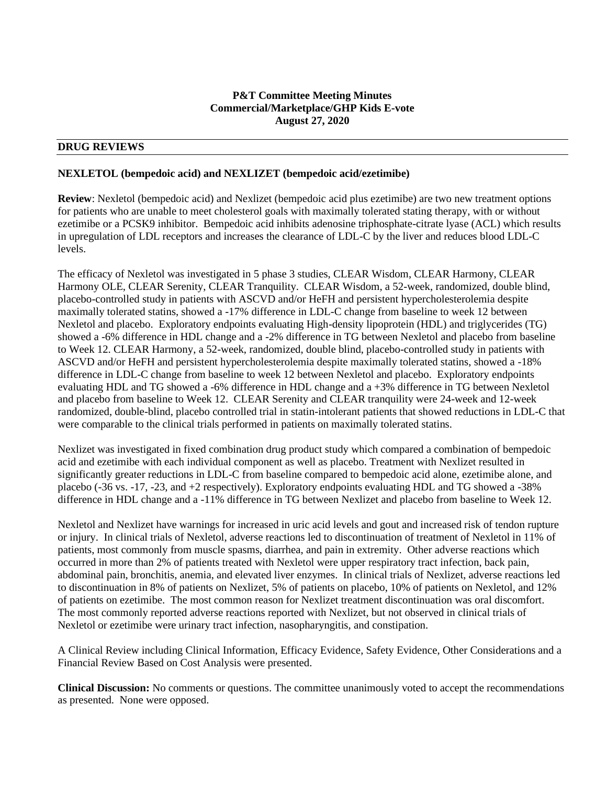### **P&T Committee Meeting Minutes Commercial/Marketplace/GHP Kids E-vote August 27, 2020**

### **DRUG REVIEWS**

#### **NEXLETOL (bempedoic acid) and NEXLIZET (bempedoic acid/ezetimibe)**

**Review**: Nexletol (bempedoic acid) and Nexlizet (bempedoic acid plus ezetimibe) are two new treatment options for patients who are unable to meet cholesterol goals with maximally tolerated stating therapy, with or without ezetimibe or a PCSK9 inhibitor. Bempedoic acid inhibits adenosine triphosphate-citrate lyase (ACL) which results in upregulation of LDL receptors and increases the clearance of LDL-C by the liver and reduces blood LDL-C levels.

The efficacy of Nexletol was investigated in 5 phase 3 studies, CLEAR Wisdom, CLEAR Harmony, CLEAR Harmony OLE, CLEAR Serenity, CLEAR Tranquility. CLEAR Wisdom, a 52-week, randomized, double blind, placebo-controlled study in patients with ASCVD and/or HeFH and persistent hypercholesterolemia despite maximally tolerated statins, showed a -17% difference in LDL-C change from baseline to week 12 between Nexletol and placebo. Exploratory endpoints evaluating High-density lipoprotein (HDL) and triglycerides (TG) showed a -6% difference in HDL change and a -2% difference in TG between Nexletol and placebo from baseline to Week 12. CLEAR Harmony, a 52-week, randomized, double blind, placebo-controlled study in patients with ASCVD and/or HeFH and persistent hypercholesterolemia despite maximally tolerated statins, showed a -18% difference in LDL-C change from baseline to week 12 between Nexletol and placebo. Exploratory endpoints evaluating HDL and TG showed a -6% difference in HDL change and a +3% difference in TG between Nexletol and placebo from baseline to Week 12. CLEAR Serenity and CLEAR tranquility were 24-week and 12-week randomized, double-blind, placebo controlled trial in statin-intolerant patients that showed reductions in LDL-C that were comparable to the clinical trials performed in patients on maximally tolerated statins.

Nexlizet was investigated in fixed combination drug product study which compared a combination of bempedoic acid and ezetimibe with each individual component as well as placebo. Treatment with Nexlizet resulted in significantly greater reductions in LDL-C from baseline compared to bempedoic acid alone, ezetimibe alone, and placebo (-36 vs. -17, -23, and +2 respectively). Exploratory endpoints evaluating HDL and TG showed a -38% difference in HDL change and a -11% difference in TG between Nexlizet and placebo from baseline to Week 12.

Nexletol and Nexlizet have warnings for increased in uric acid levels and gout and increased risk of tendon rupture or injury. In clinical trials of Nexletol, adverse reactions led to discontinuation of treatment of Nexletol in 11% of patients, most commonly from muscle spasms, diarrhea, and pain in extremity. Other adverse reactions which occurred in more than 2% of patients treated with Nexletol were upper respiratory tract infection, back pain, abdominal pain, bronchitis, anemia, and elevated liver enzymes. In clinical trials of Nexlizet, adverse reactions led to discontinuation in 8% of patients on Nexlizet, 5% of patients on placebo, 10% of patients on Nexletol, and 12% of patients on ezetimibe. The most common reason for Nexlizet treatment discontinuation was oral discomfort. The most commonly reported adverse reactions reported with Nexlizet, but not observed in clinical trials of Nexletol or ezetimibe were urinary tract infection, nasopharyngitis, and constipation.

A Clinical Review including Clinical Information, Efficacy Evidence, Safety Evidence, Other Considerations and a Financial Review Based on Cost Analysis were presented.

**Clinical Discussion:** No comments or questions. The committee unanimously voted to accept the recommendations as presented. None were opposed.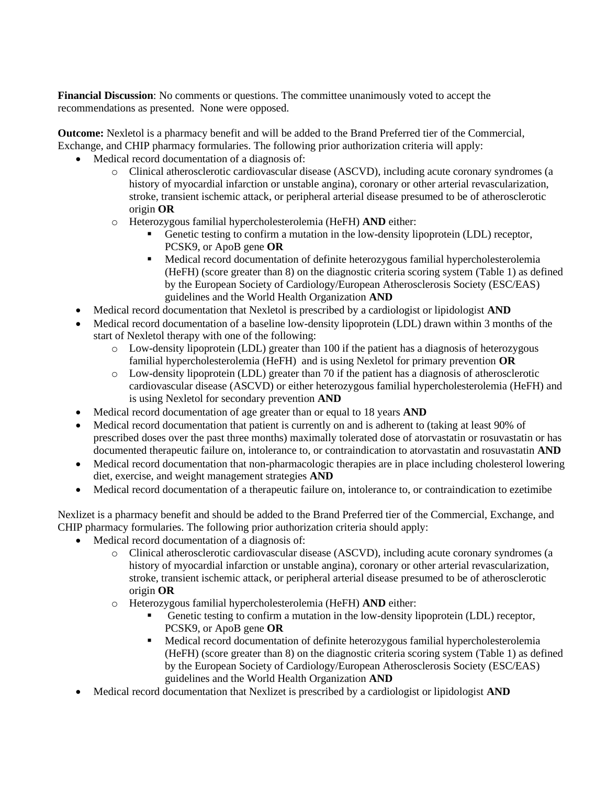**Financial Discussion**: No comments or questions. The committee unanimously voted to accept the recommendations as presented. None were opposed.

**Outcome:** Nexletol is a pharmacy benefit and will be added to the Brand Preferred tier of the Commercial, Exchange, and CHIP pharmacy formularies. The following prior authorization criteria will apply:

- Medical record documentation of a diagnosis of:
	- o Clinical atherosclerotic cardiovascular disease (ASCVD), including acute coronary syndromes (a history of myocardial infarction or unstable angina), coronary or other arterial revascularization, stroke, transient ischemic attack, or peripheral arterial disease presumed to be of atherosclerotic origin **OR**
	- o Heterozygous familial hypercholesterolemia (HeFH) **AND** either:
		- Genetic testing to confirm a mutation in the low-density lipoprotein (LDL) receptor, PCSK9, or ApoB gene **OR**
		- Medical record documentation of definite heterozygous familial hypercholesterolemia (HeFH) (score greater than 8) on the diagnostic criteria scoring system (Table 1) as defined by the European Society of Cardiology/European Atherosclerosis Society (ESC/EAS) guidelines and the World Health Organization **AND**
- Medical record documentation that Nexletol is prescribed by a cardiologist or lipidologist **AND**
- Medical record documentation of a baseline low-density lipoprotein (LDL) drawn within 3 months of the start of Nexletol therapy with one of the following:
	- o Low-density lipoprotein (LDL) greater than 100 if the patient has a diagnosis of heterozygous familial hypercholesterolemia (HeFH) and is using Nexletol for primary prevention **OR**
	- $\circ$  Low-density lipoprotein (LDL) greater than 70 if the patient has a diagnosis of atherosclerotic cardiovascular disease (ASCVD) or either heterozygous familial hypercholesterolemia (HeFH) and is using Nexletol for secondary prevention **AND**
- Medical record documentation of age greater than or equal to 18 years **AND**
- Medical record documentation that patient is currently on and is adherent to (taking at least 90% of prescribed doses over the past three months) maximally tolerated dose of atorvastatin or rosuvastatin or has documented therapeutic failure on, intolerance to, or contraindication to atorvastatin and rosuvastatin **AND**
- Medical record documentation that non-pharmacologic therapies are in place including cholesterol lowering diet, exercise, and weight management strategies **AND**
- Medical record documentation of a therapeutic failure on, intolerance to, or contraindication to ezetimibe

Nexlizet is a pharmacy benefit and should be added to the Brand Preferred tier of the Commercial, Exchange, and CHIP pharmacy formularies. The following prior authorization criteria should apply:

- Medical record documentation of a diagnosis of:
	- o Clinical atherosclerotic cardiovascular disease (ASCVD), including acute coronary syndromes (a history of myocardial infarction or unstable angina), coronary or other arterial revascularization, stroke, transient ischemic attack, or peripheral arterial disease presumed to be of atherosclerotic origin **OR**
	- o Heterozygous familial hypercholesterolemia (HeFH) **AND** either:
		- Genetic testing to confirm a mutation in the low-density lipoprotein (LDL) receptor, PCSK9, or ApoB gene **OR**
		- **•** Medical record documentation of definite heterozygous familial hypercholesterolemia (HeFH) (score greater than 8) on the diagnostic criteria scoring system (Table 1) as defined by the European Society of Cardiology/European Atherosclerosis Society (ESC/EAS) guidelines and the World Health Organization **AND**
- Medical record documentation that Nexlizet is prescribed by a cardiologist or lipidologist **AND**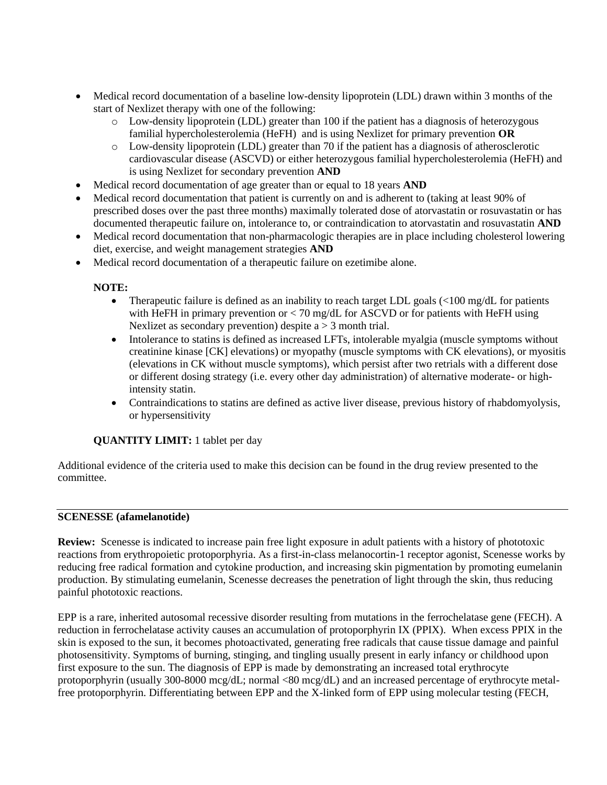- Medical record documentation of a baseline low-density lipoprotein (LDL) drawn within 3 months of the start of Nexlizet therapy with one of the following:
	- o Low-density lipoprotein (LDL) greater than 100 if the patient has a diagnosis of heterozygous familial hypercholesterolemia (HeFH) and is using Nexlizet for primary prevention **OR**
	- o Low-density lipoprotein (LDL) greater than 70 if the patient has a diagnosis of atherosclerotic cardiovascular disease (ASCVD) or either heterozygous familial hypercholesterolemia (HeFH) and is using Nexlizet for secondary prevention **AND**
- Medical record documentation of age greater than or equal to 18 years **AND**
- Medical record documentation that patient is currently on and is adherent to (taking at least 90% of prescribed doses over the past three months) maximally tolerated dose of atorvastatin or rosuvastatin or has documented therapeutic failure on, intolerance to, or contraindication to atorvastatin and rosuvastatin **AND**
- Medical record documentation that non-pharmacologic therapies are in place including cholesterol lowering diet, exercise, and weight management strategies **AND**
- Medical record documentation of a therapeutic failure on ezetimibe alone.

## **NOTE:**

- Therapeutic failure is defined as an inability to reach target LDL goals  $\langle$  = 100 mg/dL for patients with HeFH in primary prevention or  $< 70$  mg/dL for ASCVD or for patients with HeFH using Nexlizet as secondary prevention) despite  $a > 3$  month trial.
- Intolerance to statins is defined as increased LFTs, intolerable myalgia (muscle symptoms without creatinine kinase [CK] elevations) or myopathy (muscle symptoms with CK elevations), or myositis (elevations in CK without muscle symptoms), which persist after two retrials with a different dose or different dosing strategy (i.e. every other day administration) of alternative moderate- or highintensity statin.
- Contraindications to statins are defined as active liver disease, previous history of rhabdomyolysis, or hypersensitivity

# **QUANTITY LIMIT:** 1 tablet per day

Additional evidence of the criteria used to make this decision can be found in the drug review presented to the committee.

#### **SCENESSE (afamelanotide)**

**Review:** Scenesse is indicated to increase pain free light exposure in adult patients with a history of phototoxic reactions from erythropoietic protoporphyria. As a first-in-class melanocortin-1 receptor agonist, Scenesse works by reducing free radical formation and cytokine production, and increasing skin pigmentation by promoting eumelanin production. By stimulating eumelanin, Scenesse decreases the penetration of light through the skin, thus reducing painful phototoxic reactions.

EPP is a rare, inherited autosomal recessive disorder resulting from mutations in the ferrochelatase gene (FECH). A reduction in ferrochelatase activity causes an accumulation of protoporphyrin IX (PPIX). When excess PPIX in the skin is exposed to the sun, it becomes photoactivated, generating free radicals that cause tissue damage and painful photosensitivity. Symptoms of burning, stinging, and tingling usually present in early infancy or childhood upon first exposure to the sun. The diagnosis of EPP is made by demonstrating an increased total erythrocyte protoporphyrin (usually 300-8000 mcg/dL; normal <80 mcg/dL) and an increased percentage of erythrocyte metalfree protoporphyrin. Differentiating between EPP and the X-linked form of EPP using molecular testing (FECH,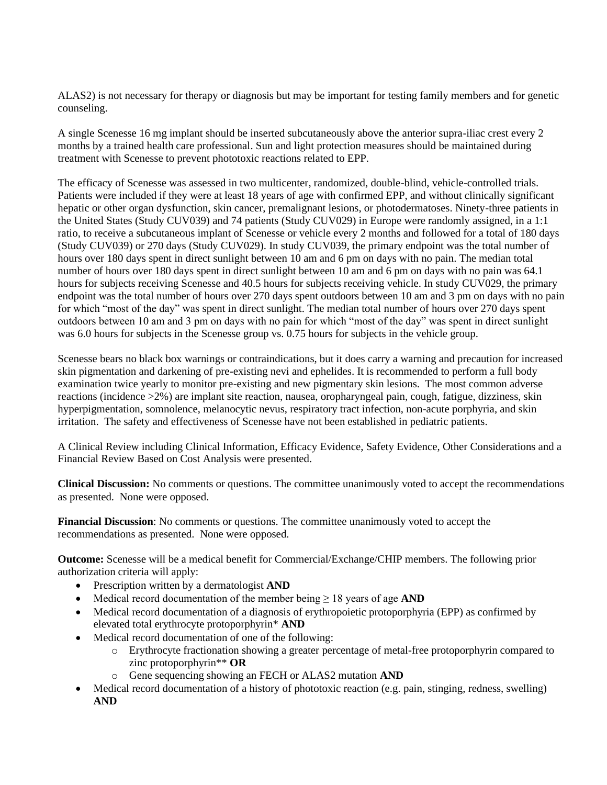ALAS2) is not necessary for therapy or diagnosis but may be important for testing family members and for genetic counseling.

A single Scenesse 16 mg implant should be inserted subcutaneously above the anterior supra-iliac crest every 2 months by a trained health care professional. Sun and light protection measures should be maintained during treatment with Scenesse to prevent phototoxic reactions related to EPP.

The efficacy of Scenesse was assessed in two multicenter, randomized, double-blind, vehicle-controlled trials. Patients were included if they were at least 18 years of age with confirmed EPP, and without clinically significant hepatic or other organ dysfunction, skin cancer, premalignant lesions, or photodermatoses. Ninety-three patients in the United States (Study CUV039) and 74 patients (Study CUV029) in Europe were randomly assigned, in a 1:1 ratio, to receive a subcutaneous implant of Scenesse or vehicle every 2 months and followed for a total of 180 days (Study CUV039) or 270 days (Study CUV029). In study CUV039, the primary endpoint was the total number of hours over 180 days spent in direct sunlight between 10 am and 6 pm on days with no pain. The median total number of hours over 180 days spent in direct sunlight between 10 am and 6 pm on days with no pain was 64.1 hours for subjects receiving Scenesse and 40.5 hours for subjects receiving vehicle. In study CUV029, the primary endpoint was the total number of hours over 270 days spent outdoors between 10 am and 3 pm on days with no pain for which "most of the day" was spent in direct sunlight. The median total number of hours over 270 days spent outdoors between 10 am and 3 pm on days with no pain for which "most of the day" was spent in direct sunlight was 6.0 hours for subjects in the Scenesse group vs. 0.75 hours for subjects in the vehicle group.

Scenesse bears no black box warnings or contraindications, but it does carry a warning and precaution for increased skin pigmentation and darkening of pre-existing nevi and ephelides. It is recommended to perform a full body examination twice yearly to monitor pre-existing and new pigmentary skin lesions. The most common adverse reactions (incidence >2%) are implant site reaction, nausea, oropharyngeal pain, cough, fatigue, dizziness, skin hyperpigmentation, somnolence, melanocytic nevus, respiratory tract infection, non-acute porphyria, and skin irritation. The safety and effectiveness of Scenesse have not been established in pediatric patients.

A Clinical Review including Clinical Information, Efficacy Evidence, Safety Evidence, Other Considerations and a Financial Review Based on Cost Analysis were presented.

**Clinical Discussion:** No comments or questions. The committee unanimously voted to accept the recommendations as presented. None were opposed.

**Financial Discussion**: No comments or questions. The committee unanimously voted to accept the recommendations as presented. None were opposed.

**Outcome:** Scenesse will be a medical benefit for Commercial/Exchange/CHIP members. The following prior authorization criteria will apply:

- Prescription written by a dermatologist **AND**
- Medical record documentation of the member being ≥ 18 years of age **AND**
- Medical record documentation of a diagnosis of erythropoietic protoporphyria (EPP) as confirmed by elevated total erythrocyte protoporphyrin\* **AND**
- Medical record documentation of one of the following:
	- o Erythrocyte fractionation showing a greater percentage of metal-free protoporphyrin compared to zinc protoporphyrin\*\* **OR**
	- o Gene sequencing showing an FECH or ALAS2 mutation **AND**
- Medical record documentation of a history of phototoxic reaction (e.g. pain, stinging, redness, swelling) **AND**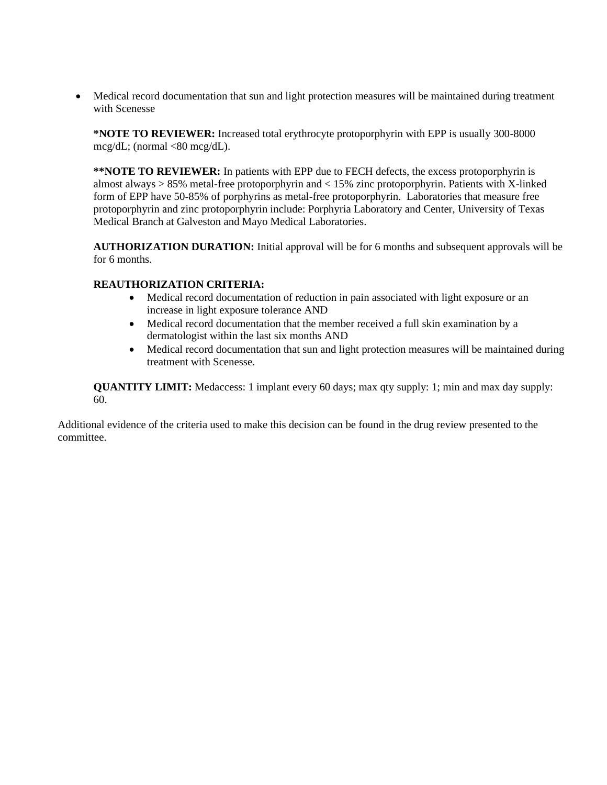• Medical record documentation that sun and light protection measures will be maintained during treatment with Scenesse

**\*NOTE TO REVIEWER:** Increased total erythrocyte protoporphyrin with EPP is usually 300-8000 mcg/dL; (normal  $\langle 80 \text{~mcg/dL} \rangle$ .

**\*\*NOTE TO REVIEWER:** In patients with EPP due to FECH defects, the excess protoporphyrin is almost always > 85% metal-free protoporphyrin and < 15% zinc protoporphyrin. Patients with X-linked form of EPP have 50-85% of porphyrins as metal-free protoporphyrin. Laboratories that measure free protoporphyrin and zinc protoporphyrin include: Porphyria Laboratory and Center, University of Texas Medical Branch at Galveston and Mayo Medical Laboratories.

**AUTHORIZATION DURATION:** Initial approval will be for 6 months and subsequent approvals will be for 6 months.

### **REAUTHORIZATION CRITERIA:**

- Medical record documentation of reduction in pain associated with light exposure or an increase in light exposure tolerance AND
- Medical record documentation that the member received a full skin examination by a dermatologist within the last six months AND
- Medical record documentation that sun and light protection measures will be maintained during treatment with Scenesse.

**QUANTITY LIMIT:** Medaccess: 1 implant every 60 days; max qty supply: 1; min and max day supply: 60.

Additional evidence of the criteria used to make this decision can be found in the drug review presented to the committee.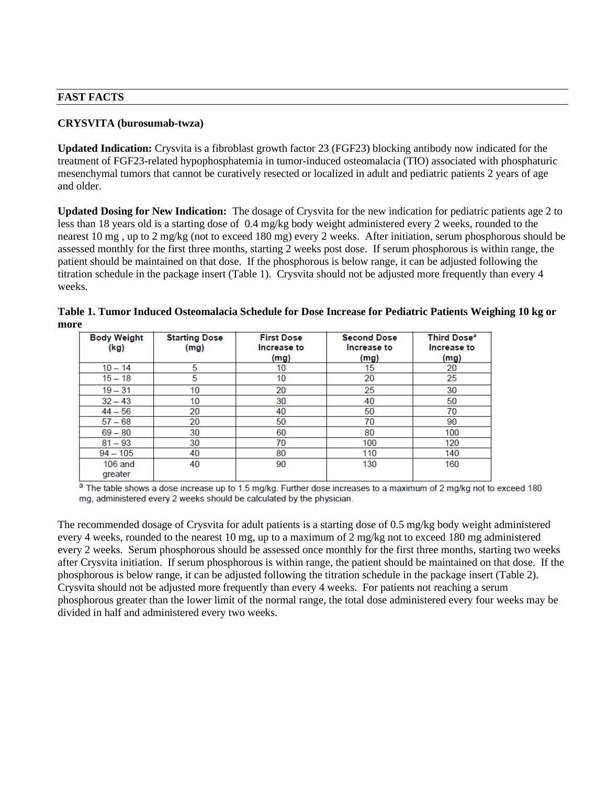### **CRYSVITA (burosumab-twza)**

**Updated Indication:** Crysvita is a fibroblast growth factor 23 (FGF23) blocking antibody now indicated for the treatment of FGF23-related hypophosphatemia in tumor-induced osteomalacia (TIO) associated with phosphaturic mesenchymal tumors that cannot be curatively resected or localized in adult and pediatric patients 2 years of age and older.

**Updated Dosing for New Indication:** The dosage of Crysvita for the new indication for pediatric patients age 2 to less than 18 years old is a starting dose of 0.4 mg/kg body weight administered every 2 weeks, rounded to the nearest 10 mg , up to 2 mg/kg (not to exceed 180 mg) every 2 weeks. After initiation, serum phosphorous should be assessed monthly for the first three months, starting 2 weeks post dose. If serum phosphorous is within range, the patient should be maintained on that dose. If the phosphorous is below range, it can be adjusted following the titration schedule in the package insert (Table 1). Crysvita should not be adjusted more frequently than every 4 weeks.

| <b>Body Weight</b><br>(kg) | <b>Starting Dose</b><br>(mg) | <b>First Dose</b><br>Increase to<br>(mg) | <b>Second Dose</b><br>Increase to<br>(mg) | Third Dose <sup>a</sup><br>Increase to<br>(mg) |
|----------------------------|------------------------------|------------------------------------------|-------------------------------------------|------------------------------------------------|
| $10 - 14$                  | 5                            | 10                                       | 15                                        | 20                                             |
| $15 - 18$                  | 5                            | 10                                       | 20                                        | 25                                             |
| $19 - 31$                  | 10                           | 20                                       | 25                                        | 30                                             |
| $32 - 43$                  | 10                           | 30                                       | 40                                        | 50                                             |
| $44 - 56$                  | 20                           | 40                                       | 50                                        | 70                                             |
| $57 - 68$                  | 20                           | 50                                       | 70                                        | 90                                             |
| $69 - 80$                  | 30                           | 60                                       | 80                                        | 100                                            |
| $81 - 93$                  | 30                           | 70                                       | 100                                       | 120                                            |
| $94 - 105$                 | 40                           | 80                                       | 110                                       | 140                                            |
| $106$ and<br>areater       | 40                           | 90                                       | 130                                       | 160                                            |

| Table 1. Tumor Induced Osteomalacia Schedule for Dose Increase for Pediatric Patients Weighing 10 kg or |  |
|---------------------------------------------------------------------------------------------------------|--|
| more                                                                                                    |  |

a The table shows a dose increase up to 1.5 mg/kg. Further dose increases to a maximum of 2 mg/kg not to exceed 180 mg, administered every 2 weeks should be calculated by the physician.

The recommended dosage of Crysvita for adult patients is a starting dose of 0.5 mg/kg body weight administered every 4 weeks, rounded to the nearest 10 mg, up to a maximum of 2 mg/kg not to exceed 180 mg administered every 2 weeks. Serum phosphorous should be assessed once monthly for the first three months, starting two weeks after Crysvita initiation. If serum phosphorous is within range, the patient should be maintained on that dose. If the phosphorous is below range, it can be adjusted following the titration schedule in the package insert (Table 2). Crysvita should not be adjusted more frequently than every 4 weeks. For patients not reaching a serum phosphorous greater than the lower limit of the normal range, the total dose administered every four weeks may be divided in half and administered every two weeks.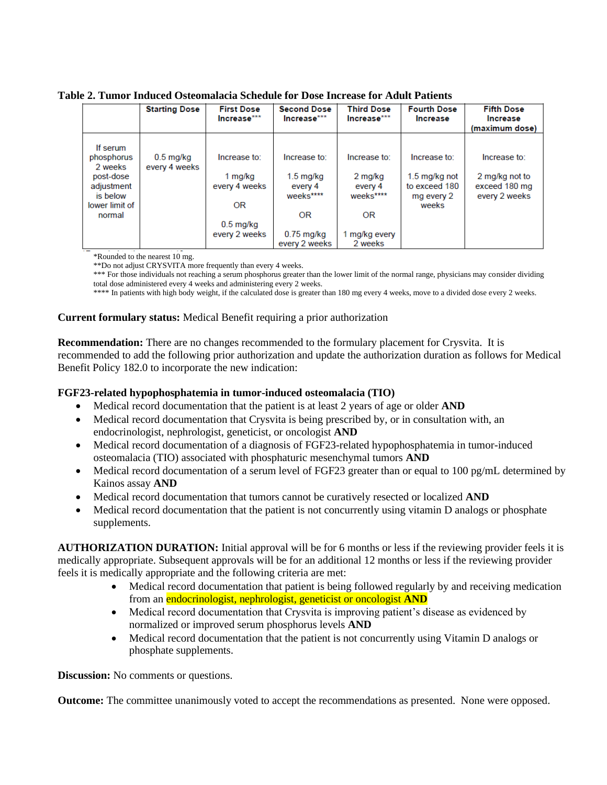**Table 2. Tumor Induced Osteomalacia Schedule for Dose Increase for Adult Patients**

|                                     | <b>Starting Dose</b>         | <b>First Dose</b><br>Increase*** | <b>Second Dose</b><br>$Increase***$ | <b>Third Dose</b><br>Increase*** | <b>Fourth Dose</b><br><b>Increase</b>                     | <b>Fifth Dose</b><br>Increase<br>(maximum dose)  |
|-------------------------------------|------------------------------|----------------------------------|-------------------------------------|----------------------------------|-----------------------------------------------------------|--------------------------------------------------|
| If serum<br>phosphorus<br>2 weeks   | $0.5$ mg/kg<br>every 4 weeks | Increase to:                     | Increase to:                        | Increase to:                     | Increase to:                                              | Increase to:                                     |
| post-dose<br>adjustment<br>is below |                              | 1 mg/kg<br>every 4 weeks         | $1.5$ mg/kg<br>every 4<br>weeks**** | 2 mg/kg<br>every 4<br>weeks****  | $1.5 \,\mathrm{mg/kg}$ not<br>to exceed 180<br>mg every 2 | 2 mg/kg not to<br>exceed 180 mg<br>every 2 weeks |
| lower limit of                      |                              | OR                               |                                     |                                  | weeks                                                     |                                                  |
| normal                              |                              | $0.5$ mg/kg                      | OR                                  | OR                               |                                                           |                                                  |
|                                     |                              | every 2 weeks                    | $0.75$ mg/kg<br>every 2 weeks       | 1 mg/kg every<br>2 weeks         |                                                           |                                                  |

\*Rounded to the nearest 10 mg.

\*\*Do not adjust CRYSVITA more frequently than every 4 weeks.

\*\*\* For those individuals not reaching a serum phosphorus greater than the lower limit of the normal range, physicians may consider dividing total dose administered every 4 weeks and administering every 2 weeks.

\*\*\*\* In patients with high body weight, if the calculated dose is greater than 180 mg every 4 weeks, move to a divided dose every 2 weeks.

### **Current formulary status:** Medical Benefit requiring a prior authorization

**Recommendation:** There are no changes recommended to the formulary placement for Crysvita. It is recommended to add the following prior authorization and update the authorization duration as follows for Medical Benefit Policy 182.0 to incorporate the new indication:

### **FGF23-related hypophosphatemia in tumor-induced osteomalacia (TIO)**

- Medical record documentation that the patient is at least 2 years of age or older **AND**
- Medical record documentation that Crysvita is being prescribed by, or in consultation with, an endocrinologist, nephrologist, geneticist, or oncologist **AND**
- Medical record documentation of a diagnosis of FGF23-related hypophosphatemia in tumor-induced osteomalacia (TIO) associated with phosphaturic mesenchymal tumors **AND**
- Medical record documentation of a serum level of FGF23 greater than or equal to 100 pg/mL determined by Kainos assay **AND**
- Medical record documentation that tumors cannot be curatively resected or localized **AND**
- Medical record documentation that the patient is not concurrently using vitamin D analogs or phosphate supplements.

**AUTHORIZATION DURATION:** Initial approval will be for 6 months or less if the reviewing provider feels it is medically appropriate. Subsequent approvals will be for an additional 12 months or less if the reviewing provider feels it is medically appropriate and the following criteria are met:

- Medical record documentation that patient is being followed regularly by and receiving medication from an endocrinologist, nephrologist, geneticist or oncologist **AND**
- Medical record documentation that Crysvita is improving patient's disease as evidenced by normalized or improved serum phosphorus levels **AND**
- Medical record documentation that the patient is not concurrently using Vitamin D analogs or phosphate supplements.

**Discussion:** No comments or questions.

**Outcome:** The committee unanimously voted to accept the recommendations as presented. None were opposed.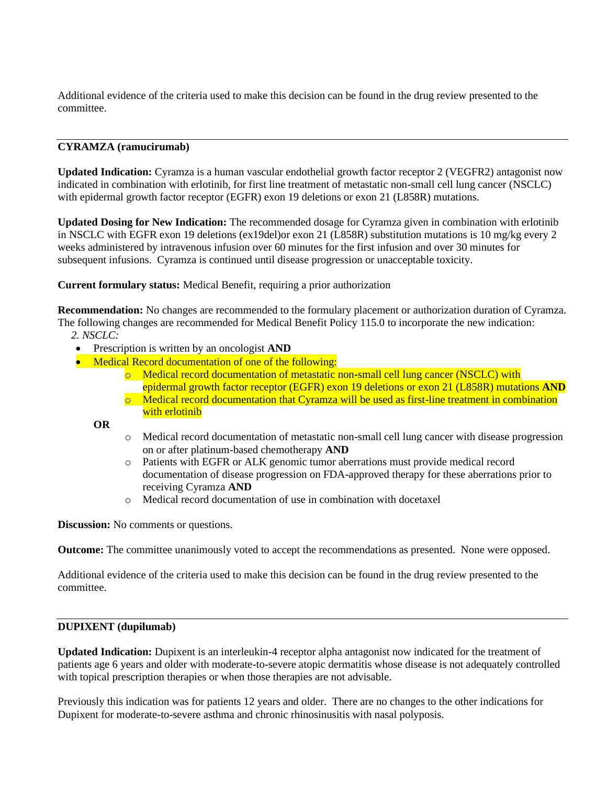Additional evidence of the criteria used to make this decision can be found in the drug review presented to the committee.

## **CYRAMZA (ramucirumab)**

**Updated Indication:** Cyramza is a human vascular endothelial growth factor receptor 2 (VEGFR2) antagonist now indicated in combination with erlotinib, for first line treatment of metastatic non-small cell lung cancer (NSCLC) with epidermal growth factor receptor (EGFR) exon 19 deletions or exon 21 (L858R) mutations.

**Updated Dosing for New Indication:** The recommended dosage for Cyramza given in combination with erlotinib in NSCLC with EGFR exon 19 deletions (ex19del)or exon 21 (L858R) substitution mutations is 10 mg/kg every 2 weeks administered by intravenous infusion over 60 minutes for the first infusion and over 30 minutes for subsequent infusions. Cyramza is continued until disease progression or unacceptable toxicity.

**Current formulary status:** Medical Benefit, requiring a prior authorization

**Recommendation:** No changes are recommended to the formulary placement or authorization duration of Cyramza. The following changes are recommended for Medical Benefit Policy 115.0 to incorporate the new indication:

*2. NSCLC:*

- Prescription is written by an oncologist **AND**
- Medical Record documentation of one of the following:
	- o Medical record documentation of metastatic non-small cell lung cancer (NSCLC) with epidermal growth factor receptor (EGFR) exon 19 deletions or exon 21 (L858R) mutations **AND**
	- o Medical record documentation that Cyramza will be used as first-line treatment in combination with erlotinib

**OR**

- o Medical record documentation of metastatic non-small cell lung cancer with disease progression on or after platinum-based chemotherapy **AND**
- o Patients with EGFR or ALK genomic tumor aberrations must provide medical record documentation of disease progression on FDA-approved therapy for these aberrations prior to receiving Cyramza **AND**
- o Medical record documentation of use in combination with docetaxel

**Discussion:** No comments or questions.

**Outcome:** The committee unanimously voted to accept the recommendations as presented. None were opposed.

Additional evidence of the criteria used to make this decision can be found in the drug review presented to the committee.

#### **DUPIXENT (dupilumab)**

**Updated Indication:** Dupixent is an interleukin-4 receptor alpha antagonist now indicated for the treatment of patients age 6 years and older with moderate-to-severe atopic dermatitis whose disease is not adequately controlled with topical prescription therapies or when those therapies are not advisable.

Previously this indication was for patients 12 years and older. There are no changes to the other indications for Dupixent for moderate-to-severe asthma and chronic rhinosinusitis with nasal polyposis.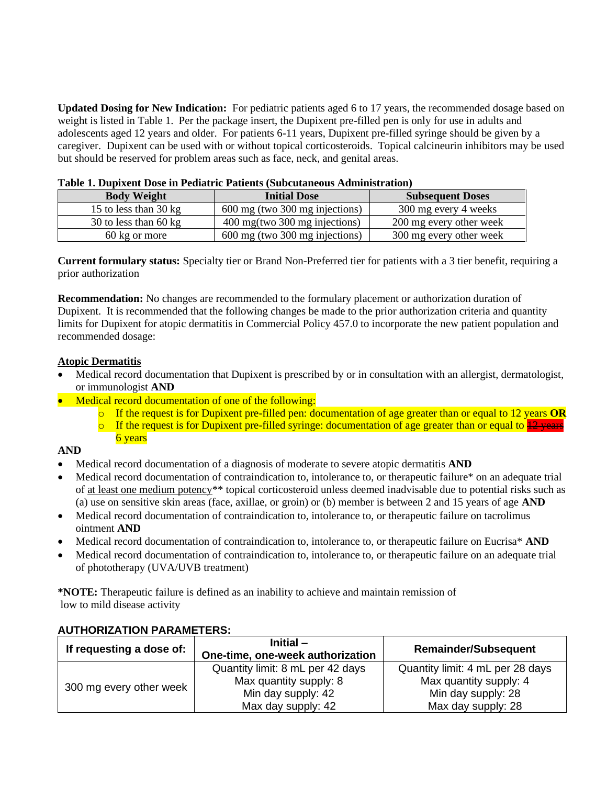**Updated Dosing for New Indication:** For pediatric patients aged 6 to 17 years, the recommended dosage based on weight is listed in Table 1. Per the package insert, the Dupixent pre-filled pen is only for use in adults and adolescents aged 12 years and older. For patients 6-11 years, Dupixent pre-filled syringe should be given by a caregiver. Dupixent can be used with or without topical corticosteroids. Topical calcineurin inhibitors may be used but should be reserved for problem areas such as face, neck, and genital areas.

| <b>Body Weight</b>    | <b>Initial Dose</b>            | <b>Subsequent Doses</b> |  |  |
|-----------------------|--------------------------------|-------------------------|--|--|
| 15 to less than 30 kg | 600 mg (two 300 mg injections) | 300 mg every 4 weeks    |  |  |
| 30 to less than 60 kg | 400 mg(two 300 mg injections)  | 200 mg every other week |  |  |
| 60 kg or more         | 600 mg (two 300 mg injections) | 300 mg every other week |  |  |

|  | Table 1. Dupixent Dose in Pediatric Patients (Subcutaneous Administration) |  |
|--|----------------------------------------------------------------------------|--|
|--|----------------------------------------------------------------------------|--|

**Current formulary status:** Specialty tier or Brand Non-Preferred tier for patients with a 3 tier benefit, requiring a prior authorization

**Recommendation:** No changes are recommended to the formulary placement or authorization duration of Dupixent. It is recommended that the following changes be made to the prior authorization criteria and quantity limits for Dupixent for atopic dermatitis in Commercial Policy 457.0 to incorporate the new patient population and recommended dosage:

## **Atopic Dermatitis**

- Medical record documentation that Dupixent is prescribed by or in consultation with an allergist, dermatologist, or immunologist **AND**
- Medical record documentation of one of the following:
	- o If the request is for Dupixent pre-filled pen: documentation of age greater than or equal to 12 years **OR**
	- $\circ$  If the request is for Dupixent pre-filled syringe: documentation of age greater than or equal to  $\frac{12 \text{ years}}{12 \text{ years}}$ 6 years

### **AND**

- Medical record documentation of a diagnosis of moderate to severe atopic dermatitis **AND**
- Medical record documentation of contraindication to, intolerance to, or therapeutic failure<sup>\*</sup> on an adequate trial of at least one medium potency\*\* topical corticosteroid unless deemed inadvisable due to potential risks such as (a) use on sensitive skin areas (face, axillae, or groin) or (b) member is between 2 and 15 years of age **AND**
- Medical record documentation of contraindication to, intolerance to, or therapeutic failure on tacrolimus ointment **AND**
- Medical record documentation of contraindication to, intolerance to, or therapeutic failure on Eucrisa\* **AND**
- Medical record documentation of contraindication to, intolerance to, or therapeutic failure on an adequate trial of phototherapy (UVA/UVB treatment)

**\*NOTE:** Therapeutic failure is defined as an inability to achieve and maintain remission of low to mild disease activity

| If requesting a dose of: | Initial $-$<br>One-time, one-week authorization | <b>Remainder/Subsequent</b>      |
|--------------------------|-------------------------------------------------|----------------------------------|
| 300 mg every other week  | Quantity limit: 8 mL per 42 days                | Quantity limit: 4 mL per 28 days |
|                          | Max quantity supply: 8                          | Max quantity supply: 4           |
|                          | Min day supply: 42                              | Min day supply: 28               |
|                          | Max day supply: 42                              | Max day supply: 28               |

### **AUTHORIZATION PARAMETERS:**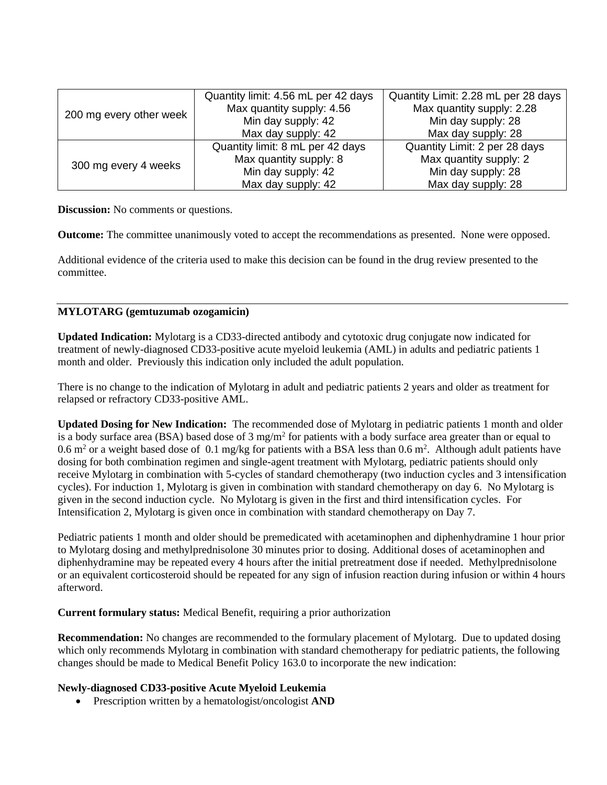|                         | Quantity limit: 4.56 mL per 42 days | Quantity Limit: 2.28 mL per 28 days |
|-------------------------|-------------------------------------|-------------------------------------|
| 200 mg every other week | Max quantity supply: 4.56           | Max quantity supply: 2.28           |
|                         | Min day supply: 42                  | Min day supply: 28                  |
|                         | Max day supply: 42                  | Max day supply: 28                  |
| 300 mg every 4 weeks    | Quantity limit: 8 mL per 42 days    | Quantity Limit: 2 per 28 days       |
|                         | Max quantity supply: 8              | Max quantity supply: 2              |
|                         | Min day supply: 42                  | Min day supply: 28                  |
|                         | Max day supply: 42                  | Max day supply: 28                  |

**Discussion:** No comments or questions.

**Outcome:** The committee unanimously voted to accept the recommendations as presented. None were opposed.

Additional evidence of the criteria used to make this decision can be found in the drug review presented to the committee.

## **MYLOTARG (gemtuzumab ozogamicin)**

**Updated Indication:** Mylotarg is a CD33-directed antibody and cytotoxic drug conjugate now indicated for treatment of newly-diagnosed CD33-positive acute myeloid leukemia (AML) in adults and pediatric patients 1 month and older. Previously this indication only included the adult population.

There is no change to the indication of Mylotarg in adult and pediatric patients 2 years and older as treatment for relapsed or refractory CD33-positive AML.

**Updated Dosing for New Indication:** The recommended dose of Mylotarg in pediatric patients 1 month and older is a body surface area (BSA) based dose of  $3 \text{ mg/m}^2$  for patients with a body surface area greater than or equal to 0.6 m<sup>2</sup> or a weight based dose of 0.1 mg/kg for patients with a BSA less than  $0.6$  m<sup>2</sup>. Although adult patients have dosing for both combination regimen and single-agent treatment with Mylotarg, pediatric patients should only receive Mylotarg in combination with 5-cycles of standard chemotherapy (two induction cycles and 3 intensification cycles). For induction 1, Mylotarg is given in combination with standard chemotherapy on day 6. No Mylotarg is given in the second induction cycle. No Mylotarg is given in the first and third intensification cycles. For Intensification 2, Mylotarg is given once in combination with standard chemotherapy on Day 7.

Pediatric patients 1 month and older should be premedicated with acetaminophen and diphenhydramine 1 hour prior to Mylotarg dosing and methylprednisolone 30 minutes prior to dosing. Additional doses of acetaminophen and diphenhydramine may be repeated every 4 hours after the initial pretreatment dose if needed. Methylprednisolone or an equivalent corticosteroid should be repeated for any sign of infusion reaction during infusion or within 4 hours afterword.

### **Current formulary status:** Medical Benefit, requiring a prior authorization

**Recommendation:** No changes are recommended to the formulary placement of Mylotarg. Due to updated dosing which only recommends Mylotarg in combination with standard chemotherapy for pediatric patients, the following changes should be made to Medical Benefit Policy 163.0 to incorporate the new indication:

### **Newly-diagnosed CD33-positive Acute Myeloid Leukemia**

• Prescription written by a hematologist/oncologist **AND**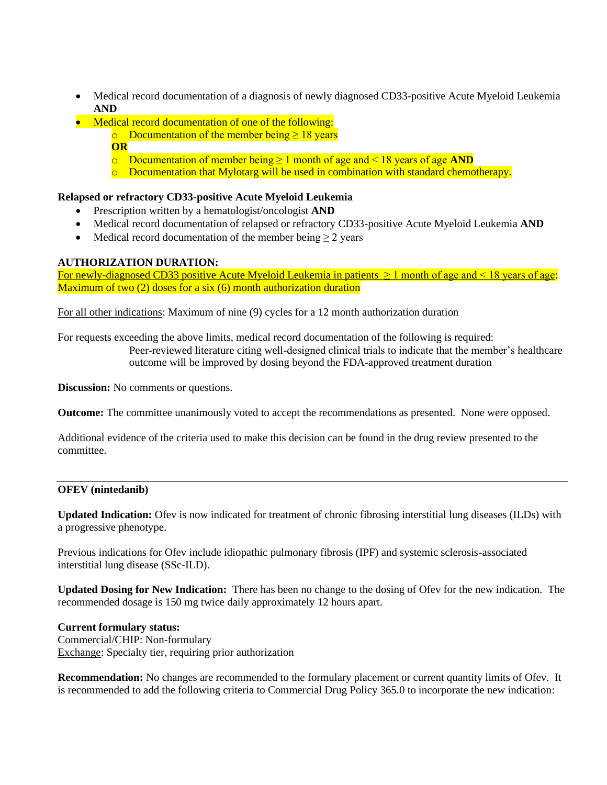- Medical record documentation of a diagnosis of newly diagnosed CD33-positive Acute Myeloid Leukemia **AND**
- Medical record documentation of one of the following:
	- o Documentation of the member being  $\geq 18$  years
	- **OR**
	- o Documentation of member being ≥ 1 month of age and < 18 years of age **AND**
	- $\circ$  Documentation that Mylotarg will be used in combination with standard chemotherapy.

## **Relapsed or refractory CD33-positive Acute Myeloid Leukemia**

- Prescription written by a hematologist/oncologist **AND**
- Medical record documentation of relapsed or refractory CD33-positive Acute Myeloid Leukemia **AND**
- Medical record documentation of the member being  $\geq 2$  years

### **AUTHORIZATION DURATION:**

For newly-diagnosed CD33 positive Acute Myeloid Leukemia in patients  $\geq 1$  month of age and < 18 years of age: Maximum of two (2) doses for a six (6) month authorization duration

For all other indications: Maximum of nine (9) cycles for a 12 month authorization duration

For requests exceeding the above limits, medical record documentation of the following is required:

Peer-reviewed literature citing well-designed clinical trials to indicate that the member's healthcare outcome will be improved by dosing beyond the FDA-approved treatment duration

**Discussion:** No comments or questions.

**Outcome:** The committee unanimously voted to accept the recommendations as presented. None were opposed.

Additional evidence of the criteria used to make this decision can be found in the drug review presented to the committee.

### **OFEV (nintedanib)**

**Updated Indication:** Ofev is now indicated for treatment of chronic fibrosing interstitial lung diseases (ILDs) with a progressive phenotype.

Previous indications for Ofev include idiopathic pulmonary fibrosis (IPF) and systemic sclerosis-associated interstitial lung disease (SSc-ILD).

**Updated Dosing for New Indication:** There has been no change to the dosing of Ofev for the new indication. The recommended dosage is 150 mg twice daily approximately 12 hours apart.

### **Current formulary status:**

Commercial/CHIP: Non-formulary Exchange: Specialty tier, requiring prior authorization

**Recommendation:** No changes are recommended to the formulary placement or current quantity limits of Ofev. It is recommended to add the following criteria to Commercial Drug Policy 365.0 to incorporate the new indication: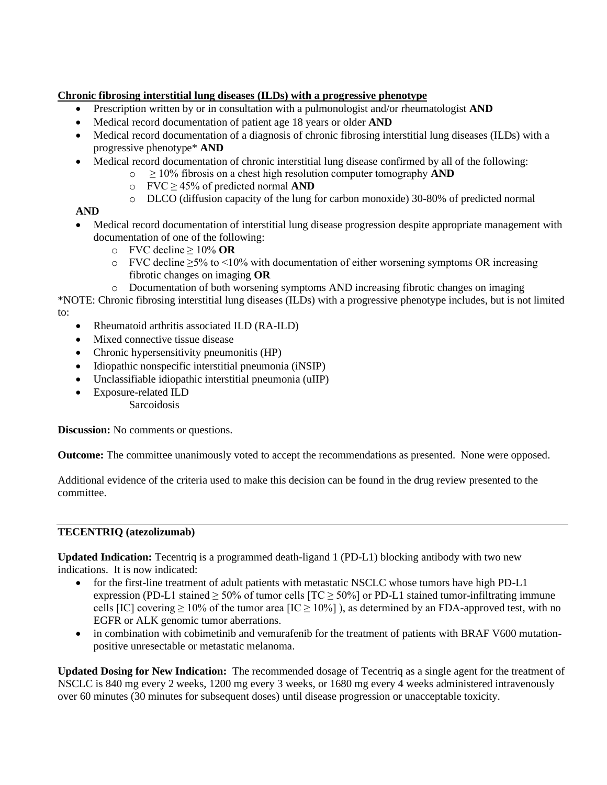# **Chronic fibrosing interstitial lung diseases (ILDs) with a progressive phenotype**

- Prescription written by or in consultation with a pulmonologist and/or rheumatologist **AND**
- Medical record documentation of patient age 18 years or older **AND**
- Medical record documentation of a diagnosis of chronic fibrosing interstitial lung diseases (ILDs) with a progressive phenotype\* **AND**
- Medical record documentation of chronic interstitial lung disease confirmed by all of the following:
	- o ≥ 10% fibrosis on a chest high resolution computer tomography **AND**
		- o FVC ≥ 45% of predicted normal **AND**
		- o DLCO (diffusion capacity of the lung for carbon monoxide) 30-80% of predicted normal

# **AND**

- Medical record documentation of interstitial lung disease progression despite appropriate management with documentation of one of the following:
	- o FVC decline ≥ 10% **OR**
	- $\circ$  FVC decline  $\geq$ 5% to <10% with documentation of either worsening symptoms OR increasing fibrotic changes on imaging **OR**
	- o Documentation of both worsening symptoms AND increasing fibrotic changes on imaging

\*NOTE: Chronic fibrosing interstitial lung diseases (ILDs) with a progressive phenotype includes, but is not limited to:

- Rheumatoid arthritis associated ILD (RA-ILD)
- Mixed connective tissue disease
- Chronic hypersensitivity pneumonitis (HP)
- Idiopathic nonspecific interstitial pneumonia (iNSIP)
- Unclassifiable idiopathic interstitial pneumonia (uIIP)
- Exposure-related ILD
	- **Sarcoidosis**

**Discussion:** No comments or questions.

**Outcome:** The committee unanimously voted to accept the recommendations as presented. None were opposed.

Additional evidence of the criteria used to make this decision can be found in the drug review presented to the committee.

# **TECENTRIQ (atezolizumab)**

**Updated Indication:** Tecentriq is a programmed death-ligand 1 (PD-L1) blocking antibody with two new indications. It is now indicated:

- for the first-line treatment of adult patients with metastatic NSCLC whose tumors have high PD-L1 expression (PD-L1 stained  $\geq$  50% of tumor cells [TC  $\geq$  50%] or PD-L1 stained tumor-infiltrating immune cells [IC] covering  $\geq 10\%$  of the tumor area [IC  $\geq 10\%$ ]), as determined by an FDA-approved test, with no EGFR or ALK genomic tumor aberrations.
- in combination with cobimetinib and vemurafenib for the treatment of patients with BRAF V600 mutationpositive unresectable or metastatic melanoma.

**Updated Dosing for New Indication:** The recommended dosage of Tecentriq as a single agent for the treatment of NSCLC is 840 mg every 2 weeks, 1200 mg every 3 weeks, or 1680 mg every 4 weeks administered intravenously over 60 minutes (30 minutes for subsequent doses) until disease progression or unacceptable toxicity.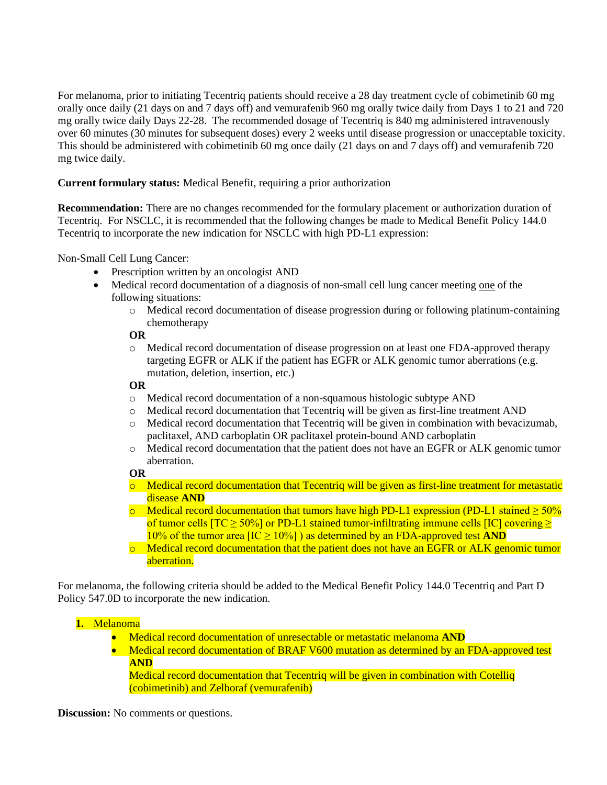For melanoma, prior to initiating Tecentriq patients should receive a 28 day treatment cycle of cobimetinib 60 mg orally once daily (21 days on and 7 days off) and vemurafenib 960 mg orally twice daily from Days 1 to 21 and 720 mg orally twice daily Days 22-28. The recommended dosage of Tecentriq is 840 mg administered intravenously over 60 minutes (30 minutes for subsequent doses) every 2 weeks until disease progression or unacceptable toxicity. This should be administered with cobimetinib 60 mg once daily (21 days on and 7 days off) and vemurafenib 720 mg twice daily.

# **Current formulary status:** Medical Benefit, requiring a prior authorization

**Recommendation:** There are no changes recommended for the formulary placement or authorization duration of Tecentriq. For NSCLC, it is recommended that the following changes be made to Medical Benefit Policy 144.0 Tecentriq to incorporate the new indication for NSCLC with high PD-L1 expression:

Non-Small Cell Lung Cancer:

- Prescription written by an oncologist AND
- Medical record documentation of a diagnosis of non-small cell lung cancer meeting one of the following situations:
	- o Medical record documentation of disease progression during or following platinum-containing chemotherapy

### **OR**

o Medical record documentation of disease progression on at least one FDA-approved therapy targeting EGFR or ALK if the patient has EGFR or ALK genomic tumor aberrations (e.g. mutation, deletion, insertion, etc.)

### **OR**

- o Medical record documentation of a non-squamous histologic subtype AND
- o Medical record documentation that Tecentriq will be given as first-line treatment AND
- o Medical record documentation that Tecentriq will be given in combination with bevacizumab, paclitaxel, AND carboplatin OR paclitaxel protein-bound AND carboplatin
- o Medical record documentation that the patient does not have an EGFR or ALK genomic tumor aberration.

### **OR**

- o Medical record documentation that Tecentriq will be given as first-line treatment for metastatic disease **AND**
- $\circ$  Medical record documentation that tumors have high PD-L1 expression (PD-L1 stained  $\geq 50\%$ ) of tumor cells  $[TC \ge 50\%]$  or PD-L1 stained tumor-infiltrating immune cells  $[IC]$  covering  $\ge$  $10\%$  of the tumor area  $[IC \ge 10\%]$  as determined by an FDA-approved test AND
- $\circ$  Medical record documentation that the patient does not have an EGFR or ALK genomic tumor aberration.

For melanoma, the following criteria should be added to the Medical Benefit Policy 144.0 Tecentriq and Part D Policy 547.0D to incorporate the new indication.

# **1.** Melanoma

- Medical record documentation of unresectable or metastatic melanoma **AND**
- Medical record documentation of BRAF V600 mutation as determined by an FDA-approved test **AND**

Medical record documentation that Tecentriq will be given in combination with Cotelliq (cobimetinib) and Zelboraf (vemurafenib)

**Discussion:** No comments or questions.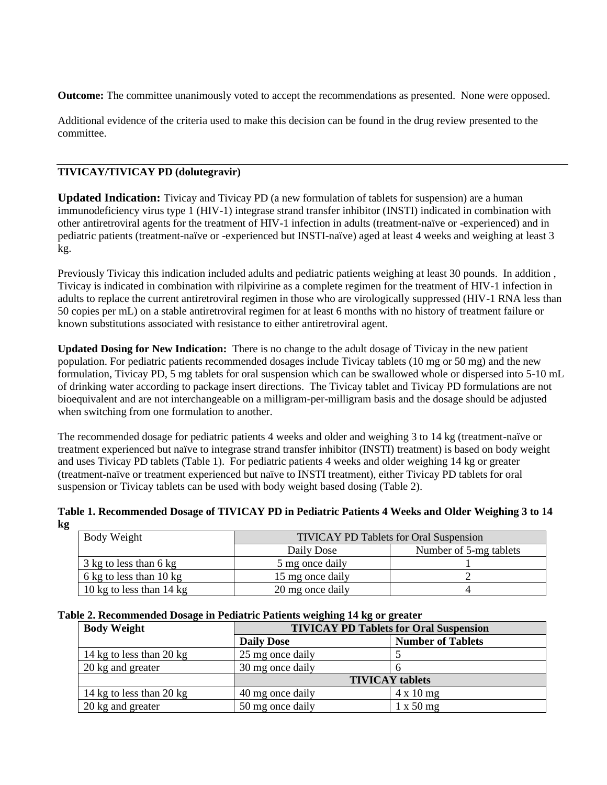**Outcome:** The committee unanimously voted to accept the recommendations as presented. None were opposed.

Additional evidence of the criteria used to make this decision can be found in the drug review presented to the committee.

## **TIVICAY/TIVICAY PD (dolutegravir)**

**Updated Indication:** Tivicay and Tivicay PD (a new formulation of tablets for suspension) are a human immunodeficiency virus type 1 (HIV-1) integrase strand transfer inhibitor (INSTI) indicated in combination with other antiretroviral agents for the treatment of HIV-1 infection in adults (treatment-naïve or -experienced) and in pediatric patients (treatment-naïve or -experienced but INSTI-naïve) aged at least 4 weeks and weighing at least 3 kg.

Previously Tivicay this indication included adults and pediatric patients weighing at least 30 pounds. In addition , Tivicay is indicated in combination with rilpivirine as a complete regimen for the treatment of HIV-1 infection in adults to replace the current antiretroviral regimen in those who are virologically suppressed (HIV-1 RNA less than 50 copies per mL) on a stable antiretroviral regimen for at least 6 months with no history of treatment failure or known substitutions associated with resistance to either antiretroviral agent.

**Updated Dosing for New Indication:** There is no change to the adult dosage of Tivicay in the new patient population. For pediatric patients recommended dosages include Tivicay tablets (10 mg or 50 mg) and the new formulation, Tivicay PD, 5 mg tablets for oral suspension which can be swallowed whole or dispersed into 5-10 mL of drinking water according to package insert directions. The Tivicay tablet and Tivicay PD formulations are not bioequivalent and are not interchangeable on a milligram-per-milligram basis and the dosage should be adjusted when switching from one formulation to another.

The recommended dosage for pediatric patients 4 weeks and older and weighing 3 to 14 kg (treatment-naïve or treatment experienced but naïve to integrase strand transfer inhibitor (INSTI) treatment) is based on body weight and uses Tivicay PD tablets (Table 1). For pediatric patients 4 weeks and older weighing 14 kg or greater (treatment-naïve or treatment experienced but naïve to INSTI treatment), either Tivicay PD tablets for oral suspension or Tivicay tablets can be used with body weight based dosing (Table 2).

#### **Table 1. Recommended Dosage of TIVICAY PD in Pediatric Patients 4 Weeks and Older Weighing 3 to 14 kg**

| Body Weight                        | <b>TIVICAY PD Tablets for Oral Suspension</b> |                        |  |
|------------------------------------|-----------------------------------------------|------------------------|--|
|                                    | Daily Dose                                    | Number of 5-mg tablets |  |
| 3 kg to less than 6 kg             | 5 mg once daily                               |                        |  |
| 6 kg to less than 10 kg            | 15 mg once daily                              |                        |  |
| 10 kg to less than $14 \text{ kg}$ | 20 mg once daily                              |                        |  |

#### **Table 2. Recommended Dosage in Pediatric Patients weighing 14 kg or greater**

| <b>Body Weight</b>       |                   | <b>TIVICAY PD Tablets for Oral Suspension</b> |  |  |
|--------------------------|-------------------|-----------------------------------------------|--|--|
|                          | <b>Daily Dose</b> | <b>Number of Tablets</b>                      |  |  |
| 14 kg to less than 20 kg | 25 mg once daily  |                                               |  |  |
| 20 kg and greater        | 30 mg once daily  |                                               |  |  |
|                          |                   | <b>TIVICAY</b> tablets                        |  |  |
| 14 kg to less than 20 kg | 40 mg once daily  | $4 \times 10$ mg                              |  |  |
| 20 kg and greater        | 50 mg once daily  | $1 \times 50$ mg                              |  |  |